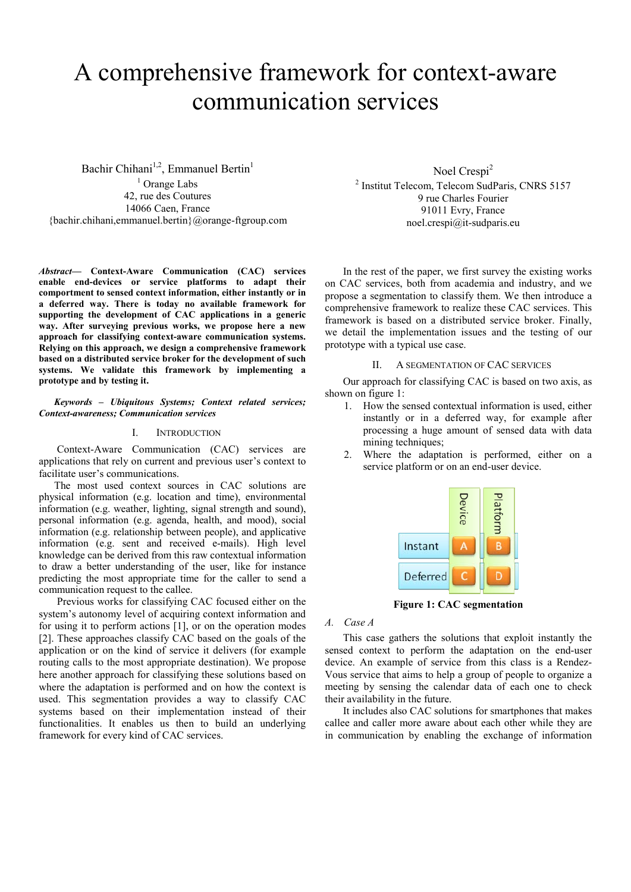# A comprehensive framework for context-aware communication services

Bachir Chihani<sup>1,2</sup>, Emmanuel Bertin<sup>1</sup> <sup>1</sup> Orange Labs 42, rue des Coutures 14066 Caen, France {bachir.chihani,emmanuel.bertin}@orange-ftgroup.com

*Abstract***— Context-Aware Communication (CAC) services enable end-devices or service platforms to adapt their comportment to sensed context information, either instantly or in a deferred way. There is today no available framework for supporting the development of CAC applications in a generic way. After surveying previous works, we propose here a new approach for classifying context-aware communication systems. Relying on this approach, we design a comprehensive framework based on a distributed service broker for the development of such systems. We validate this framework by implementing a prototype and by testing it.** 

*Keywords – Ubiquitous Systems; Context related services; Context-awareness; Communication services* 

### I. INTRODUCTION

Context-Aware Communication (CAC) services are applications that rely on current and previous user's context to facilitate user's communications.

The most used context sources in CAC solutions are physical information (e.g. location and time), environmental information (e.g. weather, lighting, signal strength and sound), personal information (e.g. agenda, health, and mood), social information (e.g. relationship between people), and applicative information (e.g. sent and received e-mails). High level knowledge can be derived from this raw contextual information to draw a better understanding of the user, like for instance predicting the most appropriate time for the caller to send a communication request to the callee.

Previous works for classifying CAC focused either on the system's autonomy level of acquiring context information and for using it to perform actions [1], or on the operation modes [2]. These approaches classify CAC based on the goals of the application or on the kind of service it delivers (for example routing calls to the most appropriate destination). We propose here another approach for classifying these solutions based on where the adaptation is performed and on how the context is used. This segmentation provides a way to classify CAC systems based on their implementation instead of their functionalities. It enables us then to build an underlying framework for every kind of CAC services.

Noel Crespi<sup>2</sup> 2 Institut Telecom, Telecom SudParis, CNRS 5157 9 rue Charles Fourier 91011 Evry, France noel.crespi@it-sudparis.eu

In the rest of the paper, we first survey the existing works on CAC services, both from academia and industry, and we propose a segmentation to classify them. We then introduce a comprehensive framework to realize these CAC services. This framework is based on a distributed service broker. Finally, we detail the implementation issues and the testing of our prototype with a typical use case.

### II. A SEGMENTATION OF CAC SERVICES

Our approach for classifying CAC is based on two axis, as shown on figure 1:

- 1. How the sensed contextual information is used, either instantly or in a deferred way, for example after processing a huge amount of sensed data with data mining techniques;
- 2. Where the adaptation is performed, either on a service platform or on an end-user device.



**Figure 1: CAC segmentation** 

# *A. Case A*

This case gathers the solutions that exploit instantly the sensed context to perform the adaptation on the end-user device. An example of service from this class is a Rendez-Vous service that aims to help a group of people to organize a meeting by sensing the calendar data of each one to check their availability in the future.

It includes also CAC solutions for smartphones that makes callee and caller more aware about each other while they are in communication by enabling the exchange of information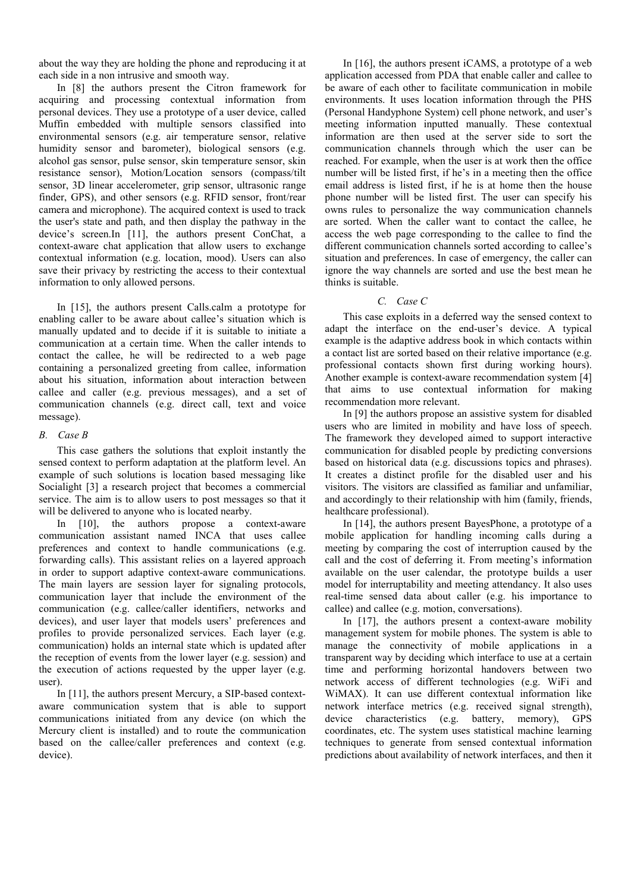about the way they are holding the phone and reproducing it at each side in a non intrusive and smooth way.

In [8] the authors present the Citron framework for acquiring and processing contextual information from personal devices. They use a prototype of a user device, called Muffin embedded with multiple sensors classified into environmental sensors (e.g. air temperature sensor, relative humidity sensor and barometer), biological sensors (e.g. alcohol gas sensor, pulse sensor, skin temperature sensor, skin resistance sensor), Motion/Location sensors (compass/tilt sensor, 3D linear accelerometer, grip sensor, ultrasonic range finder, GPS), and other sensors (e.g. RFID sensor, front/rear camera and microphone). The acquired context is used to track the user's state and path, and then display the pathway in the device's screen.In [11], the authors present ConChat, a context-aware chat application that allow users to exchange contextual information (e.g. location, mood). Users can also save their privacy by restricting the access to their contextual information to only allowed persons.

In [15], the authors present Calls.calm a prototype for enabling caller to be aware about callee's situation which is manually updated and to decide if it is suitable to initiate a communication at a certain time. When the caller intends to contact the callee, he will be redirected to a web page containing a personalized greeting from callee, information about his situation, information about interaction between callee and caller (e.g. previous messages), and a set of communication channels (e.g. direct call, text and voice message).

# *B. Case B*

This case gathers the solutions that exploit instantly the sensed context to perform adaptation at the platform level. An example of such solutions is location based messaging like Socialight [3] a research project that becomes a commercial service. The aim is to allow users to post messages so that it will be delivered to anyone who is located nearby.

In [10], the authors propose a context-aware communication assistant named INCA that uses callee preferences and context to handle communications (e.g. forwarding calls). This assistant relies on a layered approach in order to support adaptive context-aware communications. The main layers are session layer for signaling protocols, communication layer that include the environment of the communication (e.g. callee/caller identifiers, networks and devices), and user layer that models users' preferences and profiles to provide personalized services. Each layer (e.g. communication) holds an internal state which is updated after the reception of events from the lower layer (e.g. session) and the execution of actions requested by the upper layer (e.g. user).

In [11], the authors present Mercury, a SIP-based contextaware communication system that is able to support communications initiated from any device (on which the Mercury client is installed) and to route the communication based on the callee/caller preferences and context (e.g. device).

In [16], the authors present iCAMS, a prototype of a web application accessed from PDA that enable caller and callee to be aware of each other to facilitate communication in mobile environments. It uses location information through the PHS (Personal Handyphone System) cell phone network, and user's meeting information inputted manually. These contextual information are then used at the server side to sort the communication channels through which the user can be reached. For example, when the user is at work then the office number will be listed first, if he's in a meeting then the office email address is listed first, if he is at home then the house phone number will be listed first. The user can specify his owns rules to personalize the way communication channels are sorted. When the caller want to contact the callee, he access the web page corresponding to the callee to find the different communication channels sorted according to callee's situation and preferences. In case of emergency, the caller can ignore the way channels are sorted and use the best mean he thinks is suitable.

# *C. Case C*

This case exploits in a deferred way the sensed context to adapt the interface on the end-user's device. A typical example is the adaptive address book in which contacts within a contact list are sorted based on their relative importance (e.g. professional contacts shown first during working hours). Another example is context-aware recommendation system [4] that aims to use contextual information for making recommendation more relevant.

In [9] the authors propose an assistive system for disabled users who are limited in mobility and have loss of speech. The framework they developed aimed to support interactive communication for disabled people by predicting conversions based on historical data (e.g. discussions topics and phrases). It creates a distinct profile for the disabled user and his visitors. The visitors are classified as familiar and unfamiliar, and accordingly to their relationship with him (family, friends, healthcare professional).

In [14], the authors present BayesPhone, a prototype of a mobile application for handling incoming calls during a meeting by comparing the cost of interruption caused by the call and the cost of deferring it. From meeting's information available on the user calendar, the prototype builds a user model for interruptability and meeting attendancy. It also uses real-time sensed data about caller (e.g. his importance to callee) and callee (e.g. motion, conversations).

In [17], the authors present a context-aware mobility management system for mobile phones. The system is able to manage the connectivity of mobile applications in a transparent way by deciding which interface to use at a certain time and performing horizontal handovers between two network access of different technologies (e.g. WiFi and WiMAX). It can use different contextual information like network interface metrics (e.g. received signal strength), device characteristics (e.g. battery, memory), GPS coordinates, etc. The system uses statistical machine learning techniques to generate from sensed contextual information predictions about availability of network interfaces, and then it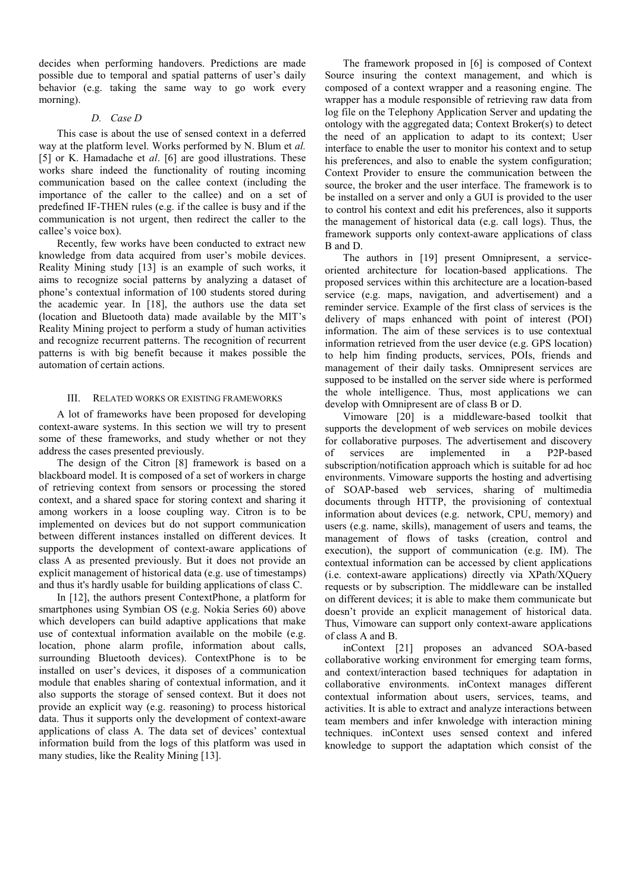decides when performing handovers. Predictions are made possible due to temporal and spatial patterns of user's daily behavior (e.g. taking the same way to go work every morning).

## *D. Case D*

This case is about the use of sensed context in a deferred way at the platform level. Works performed by N. Blum et *al.*  [5] or K. Hamadache et *al*. [6] are good illustrations. These works share indeed the functionality of routing incoming communication based on the callee context (including the importance of the caller to the callee) and on a set of predefined IF-THEN rules (e.g. if the callee is busy and if the communication is not urgent, then redirect the caller to the callee's voice box).

Recently, few works have been conducted to extract new knowledge from data acquired from user's mobile devices. Reality Mining study [13] is an example of such works, it aims to recognize social patterns by analyzing a dataset of phone's contextual information of 100 students stored during the academic year. In [18], the authors use the data set (location and Bluetooth data) made available by the MIT's Reality Mining project to perform a study of human activities and recognize recurrent patterns. The recognition of recurrent patterns is with big benefit because it makes possible the automation of certain actions.

# III. RELATED WORKS OR EXISTING FRAMEWORKS

A lot of frameworks have been proposed for developing context-aware systems. In this section we will try to present some of these frameworks, and study whether or not they address the cases presented previously.

The design of the Citron [8] framework is based on a blackboard model. It is composed of a set of workers in charge of retrieving context from sensors or processing the stored context, and a shared space for storing context and sharing it among workers in a loose coupling way. Citron is to be implemented on devices but do not support communication between different instances installed on different devices. It supports the development of context-aware applications of class A as presented previously. But it does not provide an explicit management of historical data (e.g. use of timestamps) and thus it's hardly usable for building applications of class C.

In [12], the authors present ContextPhone, a platform for smartphones using Symbian OS (e.g. Nokia Series 60) above which developers can build adaptive applications that make use of contextual information available on the mobile (e.g. location, phone alarm profile, information about calls, surrounding Bluetooth devices). ContextPhone is to be installed on user's devices, it disposes of a communication module that enables sharing of contextual information, and it also supports the storage of sensed context. But it does not provide an explicit way (e.g. reasoning) to process historical data. Thus it supports only the development of context-aware applications of class A. The data set of devices' contextual information build from the logs of this platform was used in many studies, like the Reality Mining [13].

The framework proposed in [6] is composed of Context Source insuring the context management, and which is composed of a context wrapper and a reasoning engine. The wrapper has a module responsible of retrieving raw data from log file on the Telephony Application Server and updating the ontology with the aggregated data; Context Broker(s) to detect the need of an application to adapt to its context; User interface to enable the user to monitor his context and to setup his preferences, and also to enable the system configuration: Context Provider to ensure the communication between the source, the broker and the user interface. The framework is to be installed on a server and only a GUI is provided to the user to control his context and edit his preferences, also it supports the management of historical data (e.g. call logs). Thus, the framework supports only context-aware applications of class B and D.

The authors in [19] present Omnipresent, a serviceoriented architecture for location-based applications. The proposed services within this architecture are a location-based service (e.g. maps, navigation, and advertisement) and a reminder service. Example of the first class of services is the delivery of maps enhanced with point of interest (POI) information. The aim of these services is to use contextual information retrieved from the user device (e.g. GPS location) to help him finding products, services, POIs, friends and management of their daily tasks. Omnipresent services are supposed to be installed on the server side where is performed the whole intelligence. Thus, most applications we can develop with Omnipresent are of class B or D.

Vimoware [20] is a middleware-based toolkit that supports the development of web services on mobile devices for collaborative purposes. The advertisement and discovery of services are implemented in a P2P-based subscription/notification approach which is suitable for ad hoc environments. Vimoware supports the hosting and advertising of SOAP-based web services, sharing of multimedia documents through HTTP, the provisioning of contextual information about devices (e.g. network, CPU, memory) and users (e.g. name, skills), management of users and teams, the management of flows of tasks (creation, control and execution), the support of communication (e.g. IM). The contextual information can be accessed by client applications (i.e. context-aware applications) directly via XPath/XQuery requests or by subscription. The middleware can be installed on different devices; it is able to make them communicate but doesn't provide an explicit management of historical data. Thus, Vimoware can support only context-aware applications of class A and B.

inContext [21] proposes an advanced SOA-based collaborative working environment for emerging team forms, and context/interaction based techniques for adaptation in collaborative environments. inContext manages different contextual information about users, services, teams, and activities. It is able to extract and analyze interactions between team members and infer knwoledge with interaction mining techniques. inContext uses sensed context and infered knowledge to support the adaptation which consist of the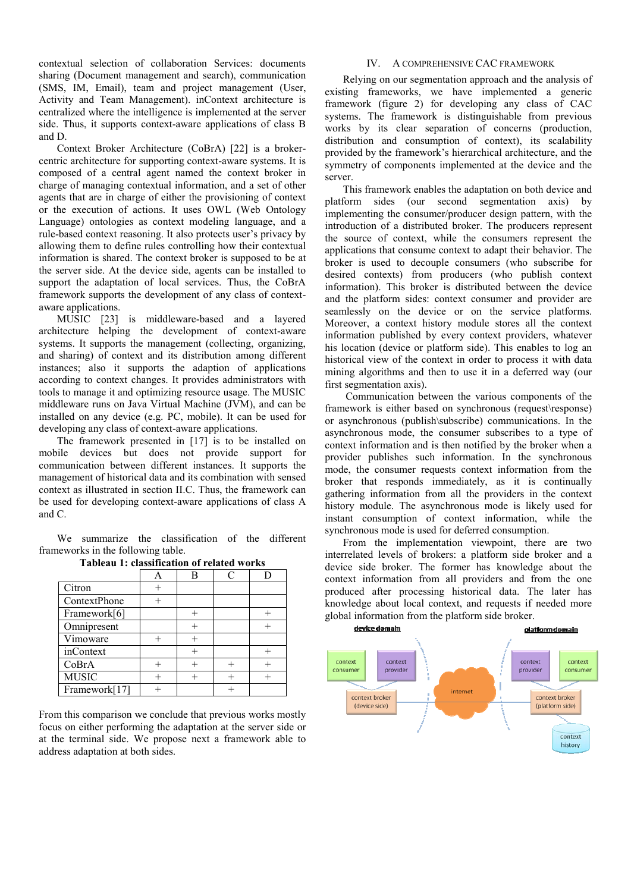contextual selection of collaboration Services: documents sharing (Document management and search), communication (SMS, IM, Email), team and project management (User, Activity and Team Management). inContext architecture is centralized where the intelligence is implemented at the server side. Thus, it supports context-aware applications of class B and D.

Context Broker Architecture (CoBrA) [22] is a brokercentric architecture for supporting context-aware systems. It is composed of a central agent named the context broker in charge of managing contextual information, and a set of other agents that are in charge of either the provisioning of context or the execution of actions. It uses OWL (Web Ontology Language) ontologies as context modeling language, and a rule-based context reasoning. It also protects user's privacy by allowing them to define rules controlling how their contextual information is shared. The context broker is supposed to be at the server side. At the device side, agents can be installed to support the adaptation of local services. Thus, the CoBrA framework supports the development of any class of contextaware applications.

MUSIC [23] is middleware-based and a layered architecture helping the development of context-aware systems. It supports the management (collecting, organizing, and sharing) of context and its distribution among different instances; also it supports the adaption of applications according to context changes. It provides administrators with tools to manage it and optimizing resource usage. The MUSIC middleware runs on Java Virtual Machine (JVM), and can be installed on any device (e.g. PC, mobile). It can be used for developing any class of context-aware applications.

The framework presented in [17] is to be installed on mobile devices but does not provide support for communication between different instances. It supports the management of historical data and its combination with sensed context as illustrated in section II.C. Thus, the framework can be used for developing context-aware applications of class A and C.

We summarize the classification of the different frameworks in the following table.

| 1. CROSHIVAUVII VI IVRRVA 11 VIIV |  |   |   |  |
|-----------------------------------|--|---|---|--|
|                                   |  | H | C |  |
| Citron                            |  |   |   |  |
| ContextPhone                      |  |   |   |  |
| Framework[6]                      |  |   |   |  |
| Omnipresent                       |  |   |   |  |
| Vimoware                          |  |   |   |  |
| inContext                         |  |   |   |  |
| CoBrA                             |  |   |   |  |
| <b>MUSIC</b>                      |  |   |   |  |
| Framework[17]                     |  |   |   |  |

**Tableau 1: classification of related works** 

IV. A COMPREHENSIVE CAC FRAMEWORK

Relying on our segmentation approach and the analysis of existing frameworks, we have implemented a generic framework (figure 2) for developing any class of CAC systems. The framework is distinguishable from previous works by its clear separation of concerns (production, distribution and consumption of context), its scalability provided by the framework's hierarchical architecture, and the symmetry of components implemented at the device and the server.

This framework enables the adaptation on both device and platform sides (our second segmentation axis) by implementing the consumer/producer design pattern, with the introduction of a distributed broker. The producers represent the source of context, while the consumers represent the applications that consume context to adapt their behavior. The broker is used to decouple consumers (who subscribe for desired contexts) from producers (who publish context information). This broker is distributed between the device and the platform sides: context consumer and provider are seamlessly on the device or on the service platforms. Moreover, a context history module stores all the context information published by every context providers, whatever his location (device or platform side). This enables to log an historical view of the context in order to process it with data mining algorithms and then to use it in a deferred way (our first segmentation axis).

 Communication between the various components of the framework is either based on synchronous (request\response) or asynchronous (publish\subscribe) communications. In the asynchronous mode, the consumer subscribes to a type of context information and is then notified by the broker when a provider publishes such information. In the synchronous mode, the consumer requests context information from the broker that responds immediately, as it is continually gathering information from all the providers in the context history module. The asynchronous mode is likely used for instant consumption of context information, while the synchronous mode is used for deferred consumption.

From the implementation viewpoint, there are two interrelated levels of brokers: a platform side broker and a device side broker. The former has knowledge about the context information from all providers and from the one produced after processing historical data. The later has knowledge about local context, and requests if needed more global information from the platform side broker.

device domain platform domain context context context context provider consumer provider consumer internet context broker context broker (platform side) (device side) context history

From this comparison we conclude that previous works mostly focus on either performing the adaptation at the server side or at the terminal side. We propose next a framework able to address adaptation at both sides.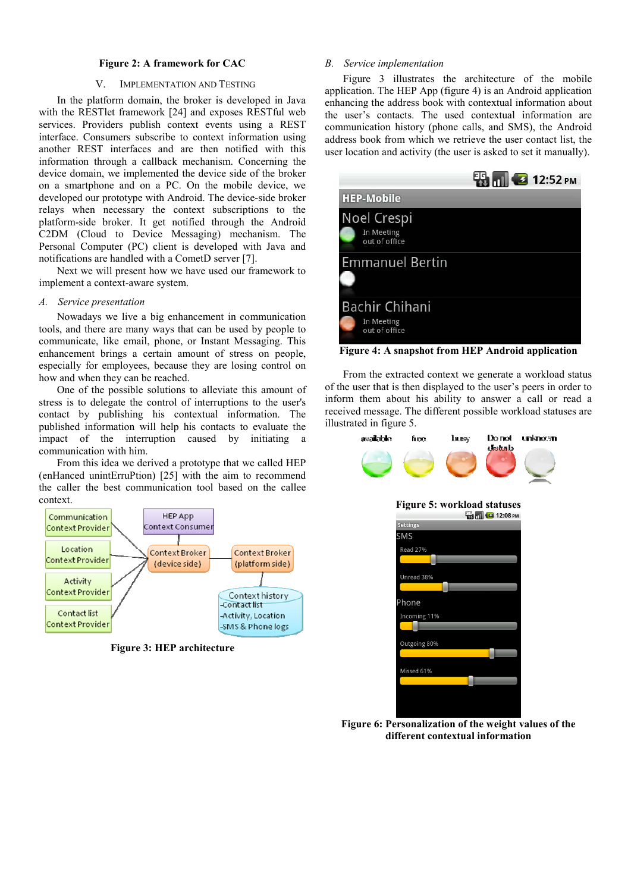## **Figure 2: A framework for CAC**

### V. IMPLEMENTATION AND TESTING

In the platform domain, the broker is developed in Java with the RESTlet framework [24] and exposes RESTful web services. Providers publish context events using a REST interface. Consumers subscribe to context information using another REST interfaces and are then notified with this information through a callback mechanism. Concerning the device domain, we implemented the device side of the broker on a smartphone and on a PC. On the mobile device, we developed our prototype with Android. The device-side broker relays when necessary the context subscriptions to the platform-side broker. It get notified through the Android C2DM (Cloud to Device Messaging) mechanism. The Personal Computer (PC) client is developed with Java and notifications are handled with a CometD server [7].

Next we will present how we have used our framework to implement a context-aware system.

### *A. Service presentation*

Nowadays we live a big enhancement in communication tools, and there are many ways that can be used by people to communicate, like email, phone, or Instant Messaging. This enhancement brings a certain amount of stress on people, especially for employees, because they are losing control on how and when they can be reached.

One of the possible solutions to alleviate this amount of stress is to delegate the control of interruptions to the user's contact by publishing his contextual information. The published information will help his contacts to evaluate the impact of the interruption caused by initiating a communication with him.

From this idea we derived a prototype that we called HEP (enHanced unintErruPtion) [25] with the aim to recommend the caller the best communication tool based on the callee context.



**Figure 3: HEP architecture** 

# *B. Service implementation*

Figure 3 illustrates the architecture of the mobile application. The HEP App (figure 4) is an Android application enhancing the address book with contextual information about the user's contacts. The used contextual information are communication history (phone calls, and SMS), the Android address book from which we retrieve the user contact list, the user location and activity (the user is asked to set it manually).



**Figure 4: A snapshot from HEP Android application** 

From the extracted context we generate a workload status of the user that is then displayed to the user's peers in order to inform them about his ability to answer a call or read a received message. The different possible workload statuses are illustrated in figure 5.







**Figure 6: Personalization of the weight values of the different contextual information**